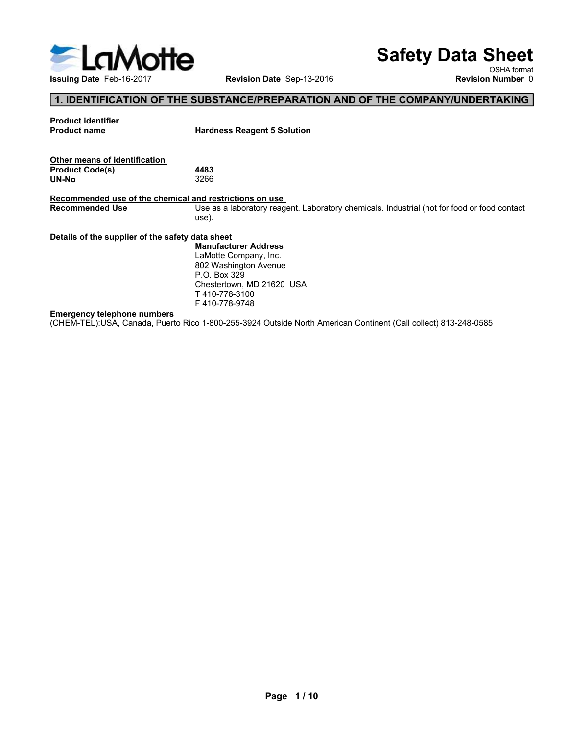

# Safety Data Sheet

# 1. IDENTIFICATION OF THE SUBSTANCE/PREPARATION AND OF THE COMPANY/UNDERTAKING

|                                                                                   |                                                                                                                 | <b>Safety Data Sheet</b> |
|-----------------------------------------------------------------------------------|-----------------------------------------------------------------------------------------------------------------|--------------------------|
| <b>LaMotte</b>                                                                    |                                                                                                                 | OSHA format              |
| Issuing Date Feb-16-2017                                                          | Revision Date Sep-13-2016                                                                                       | <b>Revision Number 0</b> |
|                                                                                   | 1. IDENTIFICATION OF THE SUBSTANCE/PREPARATION AND OF THE COMPANY/UNDERTAKING                                   |                          |
| <b>Product identifier</b>                                                         |                                                                                                                 |                          |
| <b>Product name</b>                                                               | <b>Hardness Reagent 5 Solution</b>                                                                              |                          |
| Other means of identification                                                     |                                                                                                                 |                          |
| <b>Product Code(s)</b>                                                            | 4483                                                                                                            |                          |
| <b>UN-No</b>                                                                      | 3266                                                                                                            |                          |
| Recommended use of the chemical and restrictions on use<br><b>Recommended Use</b> | Use as a laboratory reagent. Laboratory chemicals. Industrial (not for food or food contact                     |                          |
|                                                                                   | use).                                                                                                           |                          |
| Details of the supplier of the safety data sheet                                  |                                                                                                                 |                          |
|                                                                                   | <b>Manufacturer Address</b><br>LaMotte Company, Inc.                                                            |                          |
|                                                                                   | 802 Washington Avenue                                                                                           |                          |
|                                                                                   | P.O. Box 329                                                                                                    |                          |
|                                                                                   | Chestertown, MD 21620 USA<br>T410-778-3100                                                                      |                          |
|                                                                                   | F410-778-9748                                                                                                   |                          |
|                                                                                   |                                                                                                                 |                          |
| <b>Emergency telephone numbers</b>                                                | (CHEM-TEL):USA, Canada, Puerto Rico 1-800-255-3924 Outside North American Continent (Call collect) 813-248-0585 |                          |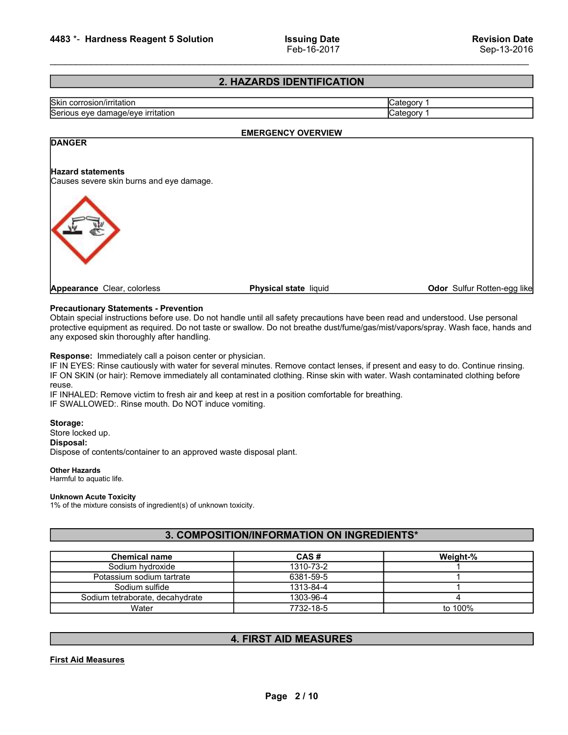# 2. HAZARDS IDENTIFICATION

| 4483 *- Hardness Reagent 5 Solution | <b>Issuing Date</b>       | <b>Revision Date</b> |
|-------------------------------------|---------------------------|----------------------|
|                                     | Feb-16-2017               | Sep-13-2016          |
|                                     |                           |                      |
|                                     | 2. HAZARDS IDENTIFICATION |                      |
| Skin corrosion/irritation           |                           | Category 1           |
| Serious eye damage/eye irritation   |                           | Category 1           |

# EMERGENCY OVERVIEW

# Altright Correction Cate<br>
Sep-13-2016<br>
Skin corrosion/irritation<br>
Skin corrosion/irritation<br>
Serious eye damage/eye irritation<br>
Category 1<br>
Category 1<br>
Category 1<br>
Category 1<br>
Category 1<br>
Category 1<br>
Category 1<br>
Category 1 Examples and Serious eye damage/eye irritation<br>
Serious eye damage/eye irritation<br>
Serious eye damage/eye irritation<br>
Serious eye damage/eye irritation<br>
Category 1<br>
Category 1<br>
Category 1<br>
DANGER<br>
EMERGENCY OVERVIEW<br>
Categ **2. HAZARDS IDENTIFICATION**<br>
Serious eye damage/eye irritation<br>
Serious eye damage/eye irritation<br>
DANGER<br>
Hazard statements<br>
Causes severe skin burns and eye damage.<br>
<br>
Precautionary Statements - Prevention<br>
Precautionary **Calegory 1**<br>
Significant special instruction<br>
Serious eye damage/eye irritation<br>
Serious eye damage/eye irritation<br> **PARCERY OVERVIEW**<br> **PARCERY OVERVIEW**<br>
Causes verice skin burns and eye damage.<br>
Precautions have been r protective equipment as required.<br>
Signic control of Category 1<br>
Serious eye diamage/eye irritation<br>
PARAGER<br>
Parazrd state members<br>
Causes severe skin burns and eye damage.<br>
Physical state liquid<br>
Causes severe skin burns Skin corrosion/irritation<br>
Serious eye damage/eye irritation<br> **EMERGENCY OVERVIEW**<br>
Category 1<br> **Category 1**<br> **Category 1**<br> **Category 1**<br> **Category 1**<br> **Category 1**<br> **Category 1**<br> **Category 1**<br> **Category 1**<br> **Category 1**<br> EMERGENCY OVERVIEW<br>
FRAGER<br>
Hazard statements<br>
Causes severe skin burns and eye damage.<br>
Precautionary Statements - Prevention<br>
Chauses severe skin burns and eye damage.<br>
Precautionary Statements - Prevention<br>
Orbital spec EMERGENCY OVERVIEW<br>
Hazard statements<br>
Fauses severe skin burns and eye damage.<br> **Precautionary Statements - Prevention**<br> **Precautionary Statements - Prevention**<br> **Precautionary Statements - Prevention**<br>
Dothan special min EMIZE CHARGER CONDITION CONTROL CONTROL CONTROL CONTROL CONTROL CONTROL CONTROL CONTROL CONTROL CONTROL CONTROL CONTROL CONTROL CONTROL CONTROL CONTROL CONTROL CONTROL CONTROL CONTROL CONTROL CONTROL CONTROL CONTROL CONTRO **IF INTERNATE CONDUCTS AIR CONDUCTS AIR CONDUCTS AIR CONDUCTS AIR AND CONDUCTS ARE CONDUCTS AND CONDUCTS ARE CONDUCTS AND CONDUCTS (SOMET AIR AND CONDUCTS) WE CONDUCT CONDUCTS (SOMET AIR AND CONDUCTS) WE CONDUCT CONDUCTS A Examplements**<br> **Examplement Center, colories**<br> **Examplement Center, colories**<br> **Physical state** liquid<br> **Doltain special instructions before use. Do not handle until all safety precautions have been read and understood. U Examples and States and States and States and States and States in States and Spearance Clear, colorless**<br> **Precautionary Statements - Prevention**<br>
Obtain special instructions before use. Do not handle until all safety pr **Examples of contents of contents of container and approved waste disposal plant.**<br> **Precentionary Statements - Prevention**<br>
Disposance Clear, colorless<br>
probably appearance Clear, colorless<br>
probably affect an approximate **DANGER** 4483 \*- Hardness Reagent 5 Solution<br>
Feb-16-2017<br>
2. HAZARDS IDENTIFICATION<br>
Skin corrosion/irritation<br>
Serious eye damage/eye irritation<br>
DANGER<br>
Hazard statements<br>
Causes severe skin burns and eye damage. 4483 \*- Hardness Reagent 5 Solution<br>
Feb-16-2017<br>
2. HAZARDS IDENTIFICATION<br>
String corresion/irritation<br>
Serious eye damage/eye irritation<br>
Category 1<br>
DANGER<br>
Hazard statements<br>
Causes severe skin burns and eye damage.<br> Feb.-16-2017 Sep-13-2016<br>
Skin corrosion/initation<br>
Skin corrosion/initation<br>
Scribus eye damage/eye irritation<br>
Hazard statements<br>
Causes severe skin burns and eye damage.<br>
Appearance Clear, colorless<br>
Physical state liqu

# Storage:<br>Store locked up. Disposal:

# Other Hazards

# Unknown Acute Toxicity

# 3. COMPOSITION/INFORMATION ON INGREDIENTS\*

| Obtain special instructions before use. Do not handle until all safety precautions have been read and understood. Use personal<br>protective equipment as required. Do not taste or swallow. Do not breathe dust/fume/gas/mist/vapors/spray. Wash face, hands and<br>any exposed skin thoroughly after handling.                                                                                                                                                                                  |                                            |          |
|---------------------------------------------------------------------------------------------------------------------------------------------------------------------------------------------------------------------------------------------------------------------------------------------------------------------------------------------------------------------------------------------------------------------------------------------------------------------------------------------------|--------------------------------------------|----------|
| Response: Immediately call a poison center or physician.<br>IF IN EYES: Rinse cautiously with water for several minutes. Remove contact lenses, if present and easy to do. Continue rinsing.<br>IF ON SKIN (or hair): Remove immediately all contaminated clothing. Rinse skin with water. Wash contaminated clothing before<br>reuse.<br>IF INHALED: Remove victim to fresh air and keep at rest in a position comfortable for breathing.<br>IF SWALLOWED:. Rinse mouth. Do NOT induce vomiting. |                                            |          |
| Storage:<br>Store locked up.<br>Disposal:<br>Dispose of contents/container to an approved waste disposal plant.                                                                                                                                                                                                                                                                                                                                                                                   |                                            |          |
| <b>Other Hazards</b><br>Harmful to aquatic life.                                                                                                                                                                                                                                                                                                                                                                                                                                                  |                                            |          |
| <b>Unknown Acute Toxicity</b><br>1% of the mixture consists of ingredient(s) of unknown toxicity.                                                                                                                                                                                                                                                                                                                                                                                                 |                                            |          |
|                                                                                                                                                                                                                                                                                                                                                                                                                                                                                                   | 3. COMPOSITION/INFORMATION ON INGREDIENTS* |          |
| <b>Chemical name</b>                                                                                                                                                                                                                                                                                                                                                                                                                                                                              | CAS#                                       | Weight-% |
| Sodium hydroxide                                                                                                                                                                                                                                                                                                                                                                                                                                                                                  | 1310-73-2                                  |          |
| Potassium sodium tartrate                                                                                                                                                                                                                                                                                                                                                                                                                                                                         | 6381-59-5                                  | 1        |
| Sodium sulfide                                                                                                                                                                                                                                                                                                                                                                                                                                                                                    | 1313-84-4                                  | 1        |
| Sodium tetraborate, decahydrate                                                                                                                                                                                                                                                                                                                                                                                                                                                                   | 1303-96-4                                  | 4        |
| Water                                                                                                                                                                                                                                                                                                                                                                                                                                                                                             | 7732-18-5                                  | to 100%  |
|                                                                                                                                                                                                                                                                                                                                                                                                                                                                                                   |                                            |          |
|                                                                                                                                                                                                                                                                                                                                                                                                                                                                                                   | <b>4. FIRST AID MEASURES</b>               |          |
| <b>First Aid Measures</b>                                                                                                                                                                                                                                                                                                                                                                                                                                                                         | Page 2/10                                  |          |
|                                                                                                                                                                                                                                                                                                                                                                                                                                                                                                   |                                            |          |

# 4. FIRST AID MEASURES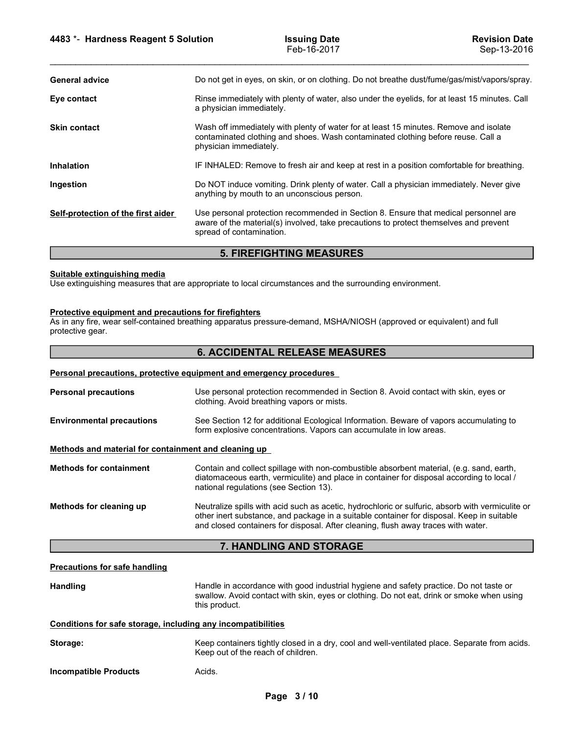| 4483 *- Hardness Reagent 5 Solution                                       | <b>Issuing Date</b><br>Feb-16-2017                                                                                                                                                                       | <b>Revision Date</b><br>Sep-13-2016 |  |
|---------------------------------------------------------------------------|----------------------------------------------------------------------------------------------------------------------------------------------------------------------------------------------------------|-------------------------------------|--|
| <b>General advice</b>                                                     | Do not get in eyes, on skin, or on clothing. Do not breathe dust/fume/gas/mist/vapors/spray.                                                                                                             |                                     |  |
| Eye contact                                                               | Rinse immediately with plenty of water, also under the eyelids, for at least 15 minutes. Call<br>a physician immediately.                                                                                |                                     |  |
| <b>Skin contact</b>                                                       | Wash off immediately with plenty of water for at least 15 minutes. Remove and isolate<br>contaminated clothing and shoes. Wash contaminated clothing before reuse. Call a<br>physician immediately.      |                                     |  |
| Inhalation                                                                | IF INHALED: Remove to fresh air and keep at rest in a position comfortable for breathing.                                                                                                                |                                     |  |
| Ingestion                                                                 | Do NOT induce vomiting. Drink plenty of water. Call a physician immediately. Never give<br>anything by mouth to an unconscious person.                                                                   |                                     |  |
| Self-protection of the first aider                                        | Use personal protection recommended in Section 8. Ensure that medical personnel are<br>aware of the material(s) involved, take precautions to protect themselves and prevent<br>spread of contamination. |                                     |  |
|                                                                           | <b>5. FIREFIGHTING MEASURES</b>                                                                                                                                                                          |                                     |  |
| Suitable extinguishing media                                              | Use extinguishing measures that are appropriate to local circumstances and the surrounding environment.                                                                                                  |                                     |  |
| Protective equipment and precautions for firefighters<br>protective gear. | As in any fire, wear self-contained breathing apparatus pressure-demand, MSHA/NIOSH (approved or equivalent) and full                                                                                    |                                     |  |
|                                                                           | <b>6. ACCIDENTAL RELEASE MEASURES</b>                                                                                                                                                                    |                                     |  |
| Personal precautions, protective equipment and emergency procedures       |                                                                                                                                                                                                          |                                     |  |
| <b>Personal precautions</b>                                               | Use personal protection recommended in Section 8. Avoid contact with skin, eyes or<br>clothing. Avoid breathing vapors or mists.                                                                         |                                     |  |
| <b>Environmental precautions</b>                                          | See Section 12 for additional Ecological Information. Beware of vapors accumulating to<br>form explosive concentrations. Vapors can accumulate in low areas.                                             |                                     |  |
| Methods and material for containment and cleaning up                      |                                                                                                                                                                                                          |                                     |  |

# 5. FIREFIGHTING MEASURES

# 6. ACCIDENTAL RELEASE MEASURES

| Ingestion                                                                        | Do NOT induce vomiting. Drink plenty of water. Call a physician immediately. Never give<br>anything by mouth to an unconscious person.                                                                                                                                             |
|----------------------------------------------------------------------------------|------------------------------------------------------------------------------------------------------------------------------------------------------------------------------------------------------------------------------------------------------------------------------------|
| Self-protection of the first aider                                               | Use personal protection recommended in Section 8. Ensure that medical personnel are<br>aware of the material(s) involved, take precautions to protect themselves and prevent<br>spread of contamination.                                                                           |
|                                                                                  | <b>5. FIREFIGHTING MEASURES</b>                                                                                                                                                                                                                                                    |
| Suitable extinguishing media                                                     | Use extinguishing measures that are appropriate to local circumstances and the surrounding environment.                                                                                                                                                                            |
| <b>Protective equipment and precautions for firefighters</b><br>protective gear. | As in any fire, wear self-contained breathing apparatus pressure-demand, MSHA/NIOSH (approved or equivalent) and full                                                                                                                                                              |
|                                                                                  | <b>6. ACCIDENTAL RELEASE MEASURES</b>                                                                                                                                                                                                                                              |
|                                                                                  | Personal precautions, protective equipment and emergency procedures                                                                                                                                                                                                                |
| <b>Personal precautions</b>                                                      | Use personal protection recommended in Section 8. Avoid contact with skin, eyes or<br>clothing. Avoid breathing vapors or mists.                                                                                                                                                   |
| <b>Environmental precautions</b>                                                 | See Section 12 for additional Ecological Information. Beware of vapors accumulating to<br>form explosive concentrations. Vapors can accumulate in low areas.                                                                                                                       |
| Methods and material for containment and cleaning up                             |                                                                                                                                                                                                                                                                                    |
| <b>Methods for containment</b>                                                   | Contain and collect spillage with non-combustible absorbent material, (e.g. sand, earth,<br>diatomaceous earth, vermiculite) and place in container for disposal according to local /<br>national regulations (see Section 13).                                                    |
| Methods for cleaning up                                                          | Neutralize spills with acid such as acetic, hydrochloric or sulfuric, absorb with vermiculite or<br>other inert substance, and package in a suitable container for disposal. Keep in suitable<br>and closed containers for disposal. After cleaning, flush away traces with water. |
|                                                                                  | 7. HANDLING AND STORAGE                                                                                                                                                                                                                                                            |
| <b>Precautions for safe handling</b>                                             |                                                                                                                                                                                                                                                                                    |
| <b>Handling</b>                                                                  | Handle in accordance with good industrial hygiene and safety practice. Do not taste or<br>swallow. Avoid contact with skin, eyes or clothing. Do not eat, drink or smoke when using<br>this product.                                                                               |
| Conditions for safe storage, including any incompatibilities                     |                                                                                                                                                                                                                                                                                    |
| Storage:                                                                         | Keep containers tightly closed in a dry, cool and well-ventilated place. Separate from acids.<br>Keep out of the reach of children.                                                                                                                                                |
| <b>Incompatible Products</b>                                                     | Acids.                                                                                                                                                                                                                                                                             |
|                                                                                  | Page 3/10                                                                                                                                                                                                                                                                          |
|                                                                                  |                                                                                                                                                                                                                                                                                    |
|                                                                                  |                                                                                                                                                                                                                                                                                    |
|                                                                                  |                                                                                                                                                                                                                                                                                    |

# 7. HANDLING AND STORAGE

|          | Conditions for safe storage. including any incompatibilities                                              |
|----------|-----------------------------------------------------------------------------------------------------------|
| Storage: | Keep containers tightly closed in a dry, cool and well-ventilated p<br>Keep out of the reach of children. |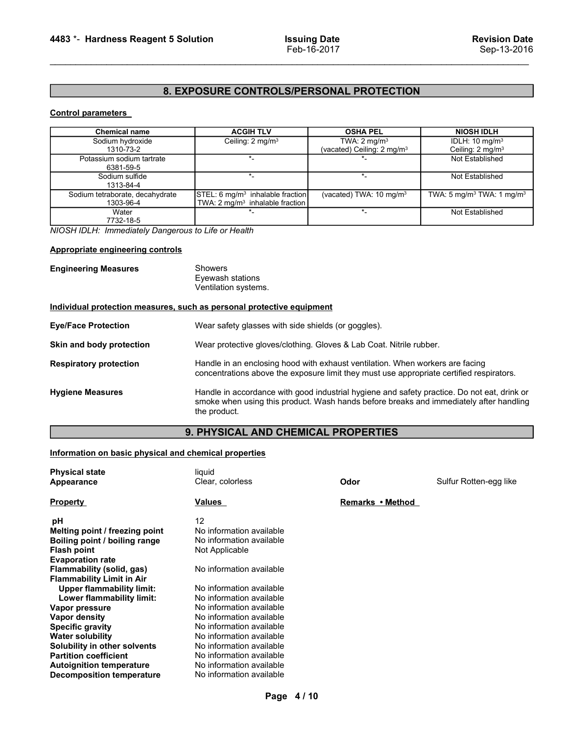# 4483 \*- Hardness Reagent 5 Solution Issuing Date<br>Feb-16-2017 Feb-16-2017<br>8. EXPOSURE CONTROLS/PERSONAL PROTECTION 8. EXPOSURE CONTROLS/PERSONAL PROTECTION

| 4483 *- Hardness Reagent 5 Solution                              |                                                                                             | <b>Issuing Date</b>                                               | <b>Revision Date</b>                                       |
|------------------------------------------------------------------|---------------------------------------------------------------------------------------------|-------------------------------------------------------------------|------------------------------------------------------------|
|                                                                  |                                                                                             | Feb-16-2017                                                       | Sep-13-2016                                                |
|                                                                  |                                                                                             |                                                                   |                                                            |
|                                                                  |                                                                                             |                                                                   |                                                            |
|                                                                  | 8. EXPOSURE CONTROLS/PERSONAL PROTECTION                                                    |                                                                   |                                                            |
| <b>Control parameters</b>                                        |                                                                                             |                                                                   |                                                            |
| <b>Chemical name</b>                                             | <b>ACGIH TLV</b>                                                                            | <b>OSHA PEL</b>                                                   | <b>NIOSH IDLH</b>                                          |
| Sodium hydroxide<br>1310-73-2                                    | Ceiling: 2 mg/m <sup>3</sup>                                                                | TWA: $2 \text{ mg/m}^3$<br>(vacated) Ceiling: 2 mg/m <sup>3</sup> | IDLH: 10 mg/m <sup>3</sup><br>Ceiling: 2 mg/m <sup>3</sup> |
| Potassium sodium tartrate<br>6381-59-5                           | $\star_-$                                                                                   | $\star$                                                           | Not Established                                            |
| Sodium sulfide<br>1313-84-4                                      | $\star_-$                                                                                   | $\overline{\mathbf{r}}$                                           | Not Established                                            |
| Sodium tetraborate, decahydrate<br>1303-96-4                     | STEL: 6 mg/m <sup>3</sup> inhalable fraction<br>TWA: 2 mg/m <sup>3</sup> inhalable fraction | (vacated) TWA: 10 mg/m <sup>3</sup>                               | TWA: 5 mg/m <sup>3</sup> TWA: 1 mg/m <sup>3</sup>          |
| Water                                                            | $\star$                                                                                     | $\star_-$                                                         | Not Established                                            |
| 7732-18-5<br>NIOSH IDLH: Immediately Dangerous to Life or Health |                                                                                             |                                                                   |                                                            |
| Appropriate engineering controls                                 |                                                                                             |                                                                   |                                                            |
|                                                                  |                                                                                             |                                                                   |                                                            |
| <b>Engineering Measures</b>                                      | Showers<br>Eyewash stations<br>Ventilation systems.                                         |                                                                   |                                                            |
|                                                                  | Individual protection measures, such as personal protective equipment                       |                                                                   |                                                            |
|                                                                  |                                                                                             |                                                                   |                                                            |
| <b>Eye/Face Protection</b>                                       | Wear safety glasses with side shields (or goggles).                                         |                                                                   |                                                            |

|                                                                                             | 8. EXPOSURE CONTROLS/PERSONAL PROTECTION                                                                                                                                                              |                                                                   |                                                            |  |
|---------------------------------------------------------------------------------------------|-------------------------------------------------------------------------------------------------------------------------------------------------------------------------------------------------------|-------------------------------------------------------------------|------------------------------------------------------------|--|
| <b>Control parameters</b>                                                                   |                                                                                                                                                                                                       |                                                                   |                                                            |  |
| <b>Chemical name</b>                                                                        | <b>ACGIH TLV</b>                                                                                                                                                                                      | <b>OSHA PEL</b>                                                   | <b>NIOSH IDLH</b>                                          |  |
| Sodium hydroxide<br>1310-73-2                                                               | Ceiling: 2 mg/m <sup>3</sup>                                                                                                                                                                          | TWA: $2 \text{ mg/m}^3$<br>(vacated) Ceiling: 2 mg/m <sup>3</sup> | IDLH: 10 mg/m <sup>3</sup><br>Ceiling: 2 mg/m <sup>3</sup> |  |
| Potassium sodium tartrate<br>6381-59-5                                                      | $\star$                                                                                                                                                                                               |                                                                   | Not Established                                            |  |
| Sodium sulfide<br>1313-84-4                                                                 | $\star$                                                                                                                                                                                               | $\star$                                                           | Not Established                                            |  |
| Sodium tetraborate, decahydrate<br>1303-96-4                                                | STEL: 6 mg/m <sup>3</sup> inhalable fraction<br>TWA: 2 mg/m <sup>3</sup> inhalable fraction                                                                                                           | (vacated) TWA: 10 mg/m <sup>3</sup>                               | TWA: 5 mg/m <sup>3</sup> TWA: 1 mg/m <sup>3</sup>          |  |
| Water<br>7732-18-5                                                                          | $\star$                                                                                                                                                                                               | $\star_-$                                                         | Not Established                                            |  |
| NIOSH IDLH: Immediately Dangerous to Life or Health                                         |                                                                                                                                                                                                       |                                                                   |                                                            |  |
| <b>Appropriate engineering controls</b>                                                     |                                                                                                                                                                                                       |                                                                   |                                                            |  |
| <b>Engineering Measures</b>                                                                 | <b>Showers</b><br>Eyewash stations<br>Ventilation systems.                                                                                                                                            |                                                                   |                                                            |  |
|                                                                                             | Individual protection measures, such as personal protective equipment                                                                                                                                 |                                                                   |                                                            |  |
| <b>Eye/Face Protection</b>                                                                  | Wear safety glasses with side shields (or goggles).                                                                                                                                                   |                                                                   |                                                            |  |
| Skin and body protection                                                                    | Wear protective gloves/clothing. Gloves & Lab Coat. Nitrile rubber.                                                                                                                                   |                                                                   |                                                            |  |
| <b>Respiratory protection</b>                                                               | Handle in an enclosing hood with exhaust ventilation. When workers are facing<br>concentrations above the exposure limit they must use appropriate certified respirators.                             |                                                                   |                                                            |  |
| <b>Hygiene Measures</b>                                                                     | Handle in accordance with good industrial hygiene and safety practice. Do not eat, drink or<br>smoke when using this product. Wash hands before breaks and immediately after handling<br>the product. |                                                                   |                                                            |  |
|                                                                                             | 9. PHYSICAL AND CHEMICAL PROPERTIES                                                                                                                                                                   |                                                                   |                                                            |  |
| Information on basic physical and chemical properties                                       |                                                                                                                                                                                                       |                                                                   |                                                            |  |
| <b>Physical state</b>                                                                       | liquid                                                                                                                                                                                                |                                                                   |                                                            |  |
| Appearance                                                                                  | Clear, colorless                                                                                                                                                                                      | Odor                                                              | Sulfur Rotten-egg like                                     |  |
| <b>Property</b>                                                                             | <b>Values</b>                                                                                                                                                                                         | Remarks • Method                                                  |                                                            |  |
| рH<br>Melting point / freezing point<br>Boiling point / boiling range<br><b>Flash point</b> | 12<br>No information available<br>No information available<br>Not Applicable                                                                                                                          |                                                                   |                                                            |  |
| <b>Evaporation rate</b><br>Flammability (solid, gas)                                        | No information available                                                                                                                                                                              |                                                                   |                                                            |  |
| <b>Flammability Limit in Air</b><br>Upper flammability limit:                               | No information available                                                                                                                                                                              |                                                                   |                                                            |  |

# 9. PHYSICAL AND CHEMICAL PROPERTIES

| Individual protection measures, such as personal protective equipment |                                                                               |      |                                                                                                                                                                                       |
|-----------------------------------------------------------------------|-------------------------------------------------------------------------------|------|---------------------------------------------------------------------------------------------------------------------------------------------------------------------------------------|
|                                                                       |                                                                               |      |                                                                                                                                                                                       |
| <b>Eye/Face Protection</b>                                            | Wear safety glasses with side shields (or goggles).                           |      |                                                                                                                                                                                       |
| Skin and body protection                                              | Wear protective gloves/clothing. Gloves & Lab Coat. Nitrile rubber.           |      |                                                                                                                                                                                       |
| <b>Respiratory protection</b>                                         | Handle in an enclosing hood with exhaust ventilation. When workers are facing |      | concentrations above the exposure limit they must use appropriate certified respirators.                                                                                              |
| <b>Hygiene Measures</b>                                               | the product.                                                                  |      | Handle in accordance with good industrial hygiene and safety practice. Do not eat, drink or<br>smoke when using this product. Wash hands before breaks and immediately after handling |
|                                                                       | 9. PHYSICAL AND CHEMICAL PROPERTIES                                           |      |                                                                                                                                                                                       |
|                                                                       |                                                                               |      |                                                                                                                                                                                       |
| Information on basic physical and chemical properties                 |                                                                               |      |                                                                                                                                                                                       |
| Physical state                                                        | liquid                                                                        |      |                                                                                                                                                                                       |
| Appearance                                                            | Clear, colorless                                                              | Odor | Sulfur Rotten-egg like                                                                                                                                                                |
| <b>Property</b>                                                       | Values                                                                        |      |                                                                                                                                                                                       |
| рH                                                                    | 12                                                                            |      |                                                                                                                                                                                       |
| Melting point / freezing point                                        | No information available                                                      |      |                                                                                                                                                                                       |
| Boiling point / boiling range                                         | No information available                                                      |      |                                                                                                                                                                                       |
| Flash point                                                           | Not Applicable                                                                |      |                                                                                                                                                                                       |
| <b>Evaporation rate</b>                                               |                                                                               |      |                                                                                                                                                                                       |
| <b>Flammability (solid, gas)</b>                                      | No information available                                                      |      |                                                                                                                                                                                       |
| <b>Flammability Limit in Air</b>                                      |                                                                               |      |                                                                                                                                                                                       |
| <b>Upper flammability limit:</b>                                      | No information available                                                      |      |                                                                                                                                                                                       |
| Lower flammability limit:                                             | No information available                                                      |      |                                                                                                                                                                                       |
| Vapor pressure                                                        | No information available                                                      |      |                                                                                                                                                                                       |
| <b>Vapor density</b>                                                  | No information available                                                      |      |                                                                                                                                                                                       |
| <b>Specific gravity</b>                                               | No information available                                                      |      |                                                                                                                                                                                       |
| <b>Water solubility</b>                                               | No information available                                                      |      |                                                                                                                                                                                       |
| Solubility in other solvents                                          | No information available                                                      |      |                                                                                                                                                                                       |
| <b>Partition coefficient</b>                                          | No information available                                                      |      |                                                                                                                                                                                       |
| <b>Autoignition temperature</b>                                       | No information available                                                      |      |                                                                                                                                                                                       |
| <b>Decomposition temperature</b>                                      | No information available                                                      |      |                                                                                                                                                                                       |
|                                                                       |                                                                               |      |                                                                                                                                                                                       |
|                                                                       |                                                                               |      |                                                                                                                                                                                       |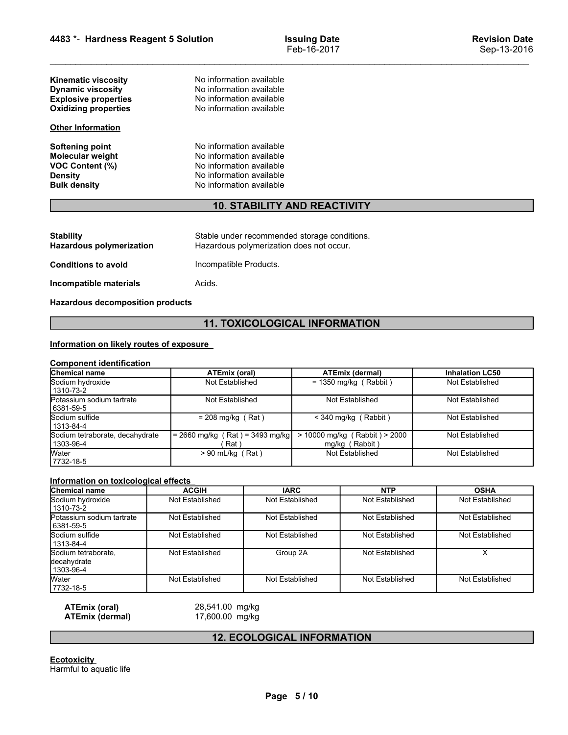| 4483 *- Hardness Reagent 5 Solution                                                                           |                                                                                                                                          | <b>Issuing Date</b><br>Feb-16-2017                | <b>Revision Date</b><br>Sep-13-2016       |
|---------------------------------------------------------------------------------------------------------------|------------------------------------------------------------------------------------------------------------------------------------------|---------------------------------------------------|-------------------------------------------|
| Kinematic viscosity<br><b>Dynamic viscosity</b><br><b>Explosive properties</b><br><b>Oxidizing properties</b> | No information available<br>No information available<br>No information available<br>No information available                             |                                                   |                                           |
| <b>Other Information</b>                                                                                      |                                                                                                                                          |                                                   |                                           |
| <b>Softening point</b><br>Molecular weight<br><b>VOC Content (%)</b><br><b>Density</b><br><b>Bulk density</b> | No information available<br>No information available<br>No information available<br>No information available<br>No information available |                                                   |                                           |
|                                                                                                               |                                                                                                                                          | <b>10. STABILITY AND REACTIVITY</b>               |                                           |
| <b>Stability</b><br><b>Hazardous polymerization</b>                                                           | Hazardous polymerization does not occur.                                                                                                 | Stable under recommended storage conditions.      |                                           |
| <b>Conditions to avoid</b>                                                                                    | Incompatible Products.                                                                                                                   |                                                   |                                           |
| Incompatible materials                                                                                        | Acids.                                                                                                                                   |                                                   |                                           |
| <b>Hazardous decomposition products</b>                                                                       |                                                                                                                                          |                                                   |                                           |
|                                                                                                               |                                                                                                                                          | <b>11. TOXICOLOGICAL INFORMATION</b>              |                                           |
| Information on likely routes of exposure                                                                      |                                                                                                                                          |                                                   |                                           |
| <b>Component identification</b>                                                                               |                                                                                                                                          |                                                   |                                           |
| Chemical name<br>Sodium hydroxide<br>1310-73-2                                                                | <b>ATEmix (oral)</b><br>Not Established                                                                                                  | <b>ATEmix (dermal)</b><br>$= 1350$ mg/kg (Rabbit) | <b>Inhalation LC50</b><br>Not Established |
| Potassium sodium tartrate                                                                                     | Not Established                                                                                                                          | Not Established                                   | Not Established                           |

# 10. STABILITY AND REACTIVITY

| <b>Other Information</b>                                                                               |                                                                                                                                          |                                      |
|--------------------------------------------------------------------------------------------------------|------------------------------------------------------------------------------------------------------------------------------------------|--------------------------------------|
| <b>Softening point</b><br>Molecular weight<br>VOC Content (%)<br><b>Density</b><br><b>Bulk density</b> | No information available<br>No information available<br>No information available<br>No information available<br>No information available |                                      |
|                                                                                                        |                                                                                                                                          | <b>10. STABILITY AND REACTIVITY</b>  |
| <b>Stability</b><br><b>Hazardous polymerization</b>                                                    | Stable under recommended storage conditions.<br>Hazardous polymerization does not occur.                                                 |                                      |
| <b>Conditions to avoid</b>                                                                             | Incompatible Products.                                                                                                                   |                                      |
| Incompatible materials                                                                                 | Acids.                                                                                                                                   |                                      |
| <b>Hazardous decomposition products</b>                                                                |                                                                                                                                          |                                      |
|                                                                                                        |                                                                                                                                          | <b>11. TOXICOLOGICAL INFORMATION</b> |
| Information on likely routes of exposure<br><b>Component identification</b>                            |                                                                                                                                          |                                      |
| Chemical name                                                                                          | ATEmix (oral)                                                                                                                            | <b>ATEmix (dermal)</b>               |
| Sodium hydroxide<br>1310-73-2                                                                          | Not Established                                                                                                                          | $= 1350$ mg/kg (Rabbit)              |
| Potassium sodium tartrate<br>6381-59-5                                                                 | Not Established                                                                                                                          | Not Established                      |
| Sodium sulfide                                                                                         | $= 208$ mg/kg (Rat)                                                                                                                      | $<$ 340 mg/kg (Rabbit)               |

# 11. TOXICOLOGICAL INFORMATION

| <u>UMPLE INTERNATION</u>                                                                               |                                                                                                                                          |                                                                                          |                                                 |                        |
|--------------------------------------------------------------------------------------------------------|------------------------------------------------------------------------------------------------------------------------------------------|------------------------------------------------------------------------------------------|-------------------------------------------------|------------------------|
| <b>Softening point</b><br>Molecular weight<br>VOC Content (%)<br><b>Density</b><br><b>Bulk density</b> | No information available<br>No information available<br>No information available<br>No information available<br>No information available |                                                                                          |                                                 |                        |
|                                                                                                        |                                                                                                                                          | <b>10. STABILITY AND REACTIVITY</b>                                                      |                                                 |                        |
| <b>Stability</b><br><b>Hazardous polymerization</b>                                                    |                                                                                                                                          | Stable under recommended storage conditions.<br>Hazardous polymerization does not occur. |                                                 |                        |
| <b>Conditions to avoid</b>                                                                             | Incompatible Products.                                                                                                                   |                                                                                          |                                                 |                        |
| Incompatible materials                                                                                 | Acids.                                                                                                                                   |                                                                                          |                                                 |                        |
| <b>Hazardous decomposition products</b>                                                                |                                                                                                                                          |                                                                                          |                                                 |                        |
|                                                                                                        |                                                                                                                                          | <b>11. TOXICOLOGICAL INFORMATION</b>                                                     |                                                 |                        |
| Information on likely routes of exposure                                                               |                                                                                                                                          |                                                                                          |                                                 |                        |
| <b>Component identification</b><br>Chemical name                                                       | <b>ATEmix (oral)</b>                                                                                                                     |                                                                                          | <b>ATEmix (dermal)</b>                          | <b>Inhalation LC50</b> |
| Sodium hydroxide<br>1310-73-2                                                                          | Not Established                                                                                                                          |                                                                                          | $= 1350$ mg/kg (Rabbit)                         | Not Established        |
| Potassium sodium tartrate<br>6381-59-5                                                                 | Not Established                                                                                                                          |                                                                                          | Not Established                                 | Not Established        |
| Sodium sulfide<br>1313-84-4                                                                            | $= 208$ mg/kg (Rat)                                                                                                                      |                                                                                          | $<$ 340 mg/kg (Rabbit)                          | Not Established        |
| Sodium tetraborate, decahydrate<br>1303-96-4                                                           | $= 2660$ mg/kg (Rat) = 3493 mg/kg<br>(Rat)                                                                                               |                                                                                          | > 10000 mg/kg (Rabbit) > 2000<br>mg/kg (Rabbit) | Not Established        |
| Water<br>7732-18-5                                                                                     | $> 90$ mL/kg (Rat)                                                                                                                       |                                                                                          | Not Established                                 | Not Established        |
| Information on toxicological effects                                                                   |                                                                                                                                          |                                                                                          |                                                 |                        |
| <b>Chemical name</b>                                                                                   | <b>ACGIH</b>                                                                                                                             | <b>IARC</b>                                                                              | <b>NTP</b>                                      | <b>OSHA</b>            |
| Sodium hydroxide<br>1310-73-2                                                                          | Not Established                                                                                                                          | Not Established                                                                          | Not Established                                 | Not Established        |
| Potassium sodium tartrate<br>6381-59-5                                                                 | Not Established                                                                                                                          | Not Established                                                                          | Not Established                                 | Not Established        |
| Sodium sulfide<br>1313-84-4                                                                            | Not Established                                                                                                                          | Not Established                                                                          | Not Established                                 | Not Established        |
| Sodium tetraborate,<br>decahydrate<br>1303-96-4                                                        | Not Established                                                                                                                          | Group 2A                                                                                 | Not Established                                 | X                      |
|                                                                                                        |                                                                                                                                          |                                                                                          |                                                 |                        |

|                                                 |                                            | <b>11. TOXICOLOGICAL INFORMATION</b> |                                                 |                         |
|-------------------------------------------------|--------------------------------------------|--------------------------------------|-------------------------------------------------|-------------------------|
| Information on likely routes of exposure        |                                            |                                      |                                                 |                         |
| <b>Component identification</b>                 |                                            |                                      |                                                 |                         |
| Chemical name<br>Sodium hydroxide               | <b>ATEmix (oral)</b>                       |                                      | <b>ATEmix (dermal)</b>                          | <b>Inhalation LC50</b>  |
| 1310-73-2                                       | Not Established                            |                                      | $= 1350$ mg/kg (Rabbit)                         | Not Established         |
| Potassium sodium tartrate<br>6381-59-5          | Not Established                            |                                      | Not Established                                 | Not Established         |
| Sodium sulfide<br>1313-84-4                     | $= 208$ mg/kg (Rat)                        |                                      | < 340 mg/kg (Rabbit)                            | Not Established         |
| Sodium tetraborate, decahydrate<br>1303-96-4    | $= 2660$ mg/kg (Rat) = 3493 mg/kg<br>(Rat) |                                      | > 10000 mg/kg (Rabbit) > 2000<br>mg/kg (Rabbit) | Not Established         |
| Water<br>7732-18-5                              | $> 90$ mL/kg (Rat)                         |                                      | Not Established                                 | Not Established         |
| Information on toxicological effects            |                                            |                                      |                                                 |                         |
| <b>Chemical name</b>                            | <b>ACGIH</b>                               | <b>IARC</b>                          | <b>NTP</b>                                      | <b>OSHA</b>             |
| Sodium hydroxide<br>$1310 - 73 - 2$             | Not Established                            | Not Established                      | Not Established                                 | Not Established         |
| Potassium sodium tartrate<br>6381-59-5          | Not Established                            | Not Established                      | Not Established                                 | Not Established         |
| Sodium sulfide<br>1313-84-4                     | Not Established                            | Not Established                      | Not Established                                 | Not Established         |
| Sodium tetraborate,<br>decahydrate<br>1303-96-4 | Not Established                            | Group 2A                             | Not Established                                 | $\overline{\mathsf{x}}$ |
| Water<br>7732-18-5                              | Not Established                            | Not Established                      | Not Established                                 | Not Established         |
| <b>ATEmix (oral)</b><br><b>ATEmix (dermal)</b>  | 28,541.00 mg/kg<br>17,600.00 mg/kg         |                                      |                                                 |                         |
|                                                 |                                            | <b>12. ECOLOGICAL INFORMATION</b>    |                                                 |                         |
| <b>Ecotoxicity</b><br>Harmful to aquatic life   |                                            |                                      |                                                 |                         |
|                                                 |                                            | Page 5/10                            |                                                 |                         |
|                                                 |                                            |                                      |                                                 |                         |
|                                                 |                                            |                                      |                                                 |                         |

# 12. ECOLOGICAL INFORMATION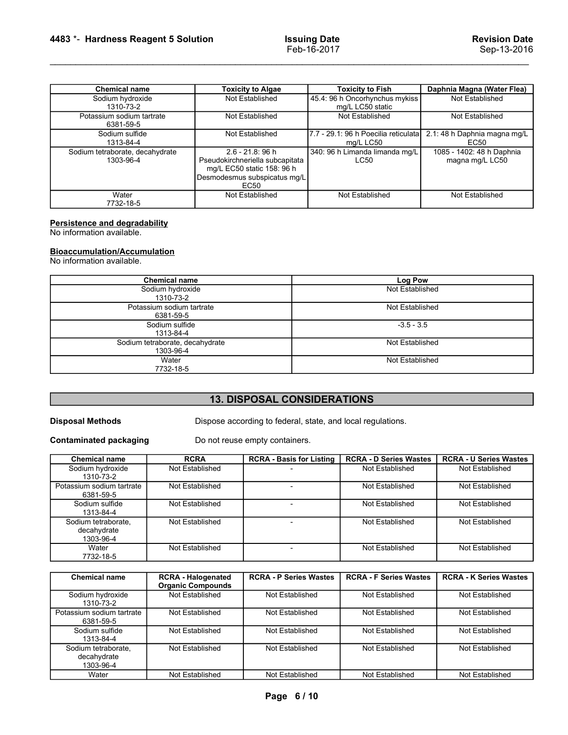| 4483 *- Hardness Reagent 5 Solution                               |                                                            | <b>Issuing Date</b>                         | <b>Revision Date</b>                     |
|-------------------------------------------------------------------|------------------------------------------------------------|---------------------------------------------|------------------------------------------|
|                                                                   |                                                            | Feb-16-2017                                 | Sep-13-2016                              |
|                                                                   |                                                            |                                             |                                          |
| Chemical name                                                     | <b>Toxicity to Algae</b>                                   | <b>Toxicity to Fish</b>                     | Daphnia Magna (Water Flea)               |
| Sodium hydroxide<br>1310-73-2                                     | Not Established                                            | 45.4: 96 h Oncorhynchus mykiss              | Not Established                          |
| Potassium sodium tartrate                                         | Not Established                                            | mg/L LC50 static<br>Not Established         | Not Established                          |
| 6381-59-5<br>Sodium sulfide                                       |                                                            | 7.7 - 29.1: 96 h Poecilia reticulata        | 2.1:48 h Daphnia magna mg/L              |
|                                                                   | Not Established                                            |                                             |                                          |
| 1313-84-4                                                         |                                                            |                                             |                                          |
| Sodium tetraborate, decahydrate                                   | $2.6 - 21.8$ : 96 h                                        | mg/L LC50<br>340: 96 h Limanda limanda mg/L | <b>EC50</b><br>1085 - 1402: 48 h Daphnia |
| 1303-96-4                                                         | Pseudokirchneriella subcapitata                            | <b>LC50</b>                                 | magna mg/L LC50                          |
|                                                                   | mg/L EC50 static 158: 96 h<br>Desmodesmus subspicatus mg/L |                                             |                                          |
| Water                                                             | <b>EC50</b><br>Not Established                             | Not Established                             |                                          |
| 7732-18-5                                                         |                                                            |                                             | Not Established                          |
|                                                                   |                                                            |                                             |                                          |
|                                                                   |                                                            |                                             |                                          |
| <b>Persistence and degradability</b><br>No information available. |                                                            |                                             |                                          |
|                                                                   |                                                            |                                             |                                          |
| Bioaccumulation/Accumulation<br>No information available.         |                                                            |                                             |                                          |
| <b>Chemical name</b>                                              |                                                            |                                             |                                          |
| Sodium hydroxide                                                  |                                                            | <b>Log Pow</b><br>Not Established           |                                          |
| 1310-73-2                                                         |                                                            |                                             |                                          |
| Potassium sodium tartrate<br>6381-59-5                            |                                                            | Not Established                             |                                          |
| Sodium sulfide<br>1313-84-4                                       |                                                            | $-3.5 - 3.5$                                |                                          |

# **Bioaccumulation/Accumulation**<br>No information available.

|                                                 |                                              | Desinuuesinus subspicatus ing/L<br>EC <sub>50</sub> |                                                             |                               |  |
|-------------------------------------------------|----------------------------------------------|-----------------------------------------------------|-------------------------------------------------------------|-------------------------------|--|
| Water<br>7732-18-5                              |                                              | Not Established                                     | Not Established                                             | Not Established               |  |
| Persistence and degradability                   |                                              |                                                     |                                                             |                               |  |
| No information available.                       |                                              |                                                     |                                                             |                               |  |
| <b>Bioaccumulation/Accumulation</b>             |                                              |                                                     |                                                             |                               |  |
| No information available.                       |                                              |                                                     |                                                             |                               |  |
|                                                 | <b>Chemical name</b>                         |                                                     | Log Pow                                                     |                               |  |
|                                                 | Sodium hydroxide<br>1310-73-2                |                                                     | Not Established                                             |                               |  |
|                                                 | Potassium sodium tartrate<br>6381-59-5       |                                                     | Not Established                                             |                               |  |
|                                                 | Sodium sulfide<br>1313-84-4                  |                                                     | $-3.5 - 3.5$<br>Not Established<br>Not Established          |                               |  |
|                                                 | Sodium tetraborate, decahydrate<br>1303-96-4 |                                                     |                                                             |                               |  |
|                                                 | Water<br>7732-18-5                           |                                                     |                                                             |                               |  |
|                                                 |                                              |                                                     |                                                             |                               |  |
|                                                 |                                              | <b>13. DISPOSAL CONSIDERATIONS</b>                  |                                                             |                               |  |
| <b>Disposal Methods</b>                         |                                              |                                                     | Dispose according to federal, state, and local regulations. |                               |  |
| <b>Contaminated packaging</b>                   |                                              | Do not reuse empty containers.                      |                                                             |                               |  |
| <b>Chemical name</b>                            | <b>RCRA</b>                                  | <b>RCRA - Basis for Listing</b>                     | <b>RCRA - D Series Wastes</b>                               | <b>RCRA - U Series Wastes</b> |  |
| Sodium hydroxide<br>1310-73-2                   | Not Established                              |                                                     | Not Established                                             | Not Established               |  |
| Potassium sodium tartrate<br>6381-59-5          | Not Established                              | $\overline{a}$                                      | Not Established                                             | Not Established               |  |
| Sodium sulfide<br>1313-84-4                     | Not Established                              | $\overline{\phantom{a}}$                            | Not Established                                             | Not Established               |  |
| Sodium tetraborate,<br>decahydrate<br>1303-96-4 | Not Established                              |                                                     | Not Established                                             | Not Established               |  |
|                                                 |                                              |                                                     |                                                             |                               |  |

# 13. DISPOSAL CONSIDERATIONS

| <u>NO</u> information available.                         |                                                       |                                                                                               |                               |                               |
|----------------------------------------------------------|-------------------------------------------------------|-----------------------------------------------------------------------------------------------|-------------------------------|-------------------------------|
|                                                          | <b>Chemical name</b>                                  |                                                                                               | Log Pow                       |                               |
|                                                          | Sodium hydroxide<br>1310-73-2                         |                                                                                               | Not Established               |                               |
|                                                          | Potassium sodium tartrate<br>6381-59-5                |                                                                                               | Not Established               |                               |
|                                                          | Sodium sulfide<br>1313-84-4                           |                                                                                               | $-3.5 - 3.5$                  |                               |
|                                                          | Sodium tetraborate, decahydrate<br>1303-96-4          |                                                                                               | Not Established               |                               |
|                                                          | Water<br>7732-18-5                                    |                                                                                               | Not Established               |                               |
|                                                          |                                                       |                                                                                               |                               |                               |
|                                                          |                                                       | <b>13. DISPOSAL CONSIDERATIONS</b>                                                            |                               |                               |
| <b>Disposal Methods</b><br><b>Contaminated packaging</b> |                                                       | Dispose according to federal, state, and local regulations.<br>Do not reuse empty containers. |                               |                               |
| <b>Chemical name</b>                                     | <b>RCRA</b>                                           | <b>RCRA - Basis for Listing</b>                                                               | <b>RCRA - D Series Wastes</b> | <b>RCRA - U Series Wastes</b> |
| Sodium hydroxide<br>1310-73-2                            | Not Established                                       |                                                                                               | Not Established               | Not Established               |
| Potassium sodium tartrate<br>6381-59-5                   | Not Established                                       | $\blacksquare$                                                                                | Not Established               | Not Established               |
| Sodium sulfide<br>1313-84-4                              | Not Established                                       | $\blacksquare$                                                                                | Not Established               | Not Established               |
| Sodium tetraborate,<br>decahydrate<br>1303-96-4          | Not Established                                       | $\overline{\phantom{a}}$                                                                      | Not Established               | Not Established               |
| Water<br>7732-18-5                                       | Not Established                                       | $\overline{\phantom{a}}$                                                                      | Not Established               | Not Established               |
|                                                          |                                                       |                                                                                               |                               |                               |
| <b>Chemical name</b>                                     | <b>RCRA - Halogenated</b><br><b>Organic Compounds</b> | <b>RCRA - P Series Wastes</b>                                                                 | <b>RCRA - F Series Wastes</b> | <b>RCRA - K Series Wastes</b> |
| Sodium hydroxide<br>1310-73-2                            | Not Established                                       | <b>Not Established</b>                                                                        | Not Established               | <b>Not Established</b>        |
| Potassium sodium tartrate<br>6381-59-5                   | Not Established                                       | Not Established                                                                               | Not Established               | Not Established               |
| Sodium sulfide<br>1313-84-4                              | Not Established                                       | Not Established                                                                               | Not Established               | Not Established               |
| Sodium tetraborate,<br>decahydrate<br>1303-96-4          | Not Established                                       | Not Established                                                                               | Not Established               | Not Established               |
|                                                          |                                                       |                                                                                               |                               |                               |

|                                                 |                                                       | <b>13. DISPOSAL CONSIDERATIONS</b>                          |                               |                               |
|-------------------------------------------------|-------------------------------------------------------|-------------------------------------------------------------|-------------------------------|-------------------------------|
| <b>Disposal Methods</b>                         |                                                       | Dispose according to federal, state, and local regulations. |                               |                               |
| <b>Contaminated packaging</b>                   |                                                       | Do not reuse empty containers.                              |                               |                               |
| <b>Chemical name</b>                            | <b>RCRA</b>                                           | <b>RCRA - Basis for Listing</b>                             | <b>RCRA - D Series Wastes</b> | <b>RCRA - U Series Wastes</b> |
| Sodium hydroxide<br>1310-73-2                   | Not Established                                       |                                                             | Not Established               | Not Established               |
| Potassium sodium tartrate<br>6381-59-5          | Not Established                                       |                                                             | Not Established               | Not Established               |
| Sodium sulfide<br>1313-84-4                     | Not Established                                       | $\sim$                                                      | Not Established               | Not Established               |
| Sodium tetraborate,<br>decahydrate<br>1303-96-4 | Not Established                                       | $\overline{\phantom{a}}$                                    | Not Established               | Not Established               |
| Water<br>7732-18-5                              | Not Established                                       | $\overline{\phantom{a}}$                                    | Not Established               | Not Established               |
|                                                 |                                                       |                                                             |                               |                               |
| <b>Chemical name</b>                            | <b>RCRA - Halogenated</b><br><b>Organic Compounds</b> | <b>RCRA - P Series Wastes</b>                               | <b>RCRA - F Series Wastes</b> | <b>RCRA - K Series Wastes</b> |
| Sodium hydroxide<br>1310-73-2                   | Not Established                                       | Not Established                                             | Not Established               | Not Established               |
| Potassium sodium tartrate<br>6381-59-5          | Not Established                                       | Not Established                                             | Not Established               | Not Established               |
| Sodium sulfide<br>1313-84-4                     | Not Established                                       | Not Established                                             | Not Established               | Not Established               |
| Sodium tetraborate,<br>decahydrate              | Not Established                                       | Not Established                                             | Not Established               | Not Established               |
| 1303-96-4                                       |                                                       |                                                             | Not Established               | Not Established               |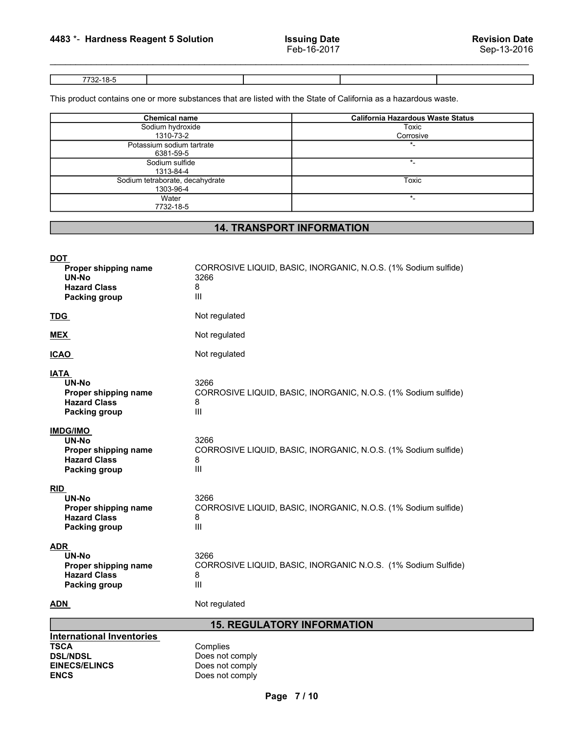Examples 2016<br>
Hardness Reagent 5 Solution<br>
Feb-16-2017<br>
This product contains one or more substances that are listed with the State of California as a bazardous waste

| 4483 *- Hardness Reagent 5 Solution |                                    | <b>Issuing Date</b>                                                                                             | <b>Revision Date</b>                     |
|-------------------------------------|------------------------------------|-----------------------------------------------------------------------------------------------------------------|------------------------------------------|
|                                     |                                    | Feb-16-2017                                                                                                     | Sep-13-2016                              |
|                                     |                                    |                                                                                                                 |                                          |
| 7732-18-5                           |                                    |                                                                                                                 |                                          |
|                                     |                                    | This product contains one or more substances that are listed with the State of California as a hazardous waste. |                                          |
|                                     | <b>Chemical name</b>               |                                                                                                                 | <b>California Hazardous Waste Status</b> |
|                                     |                                    |                                                                                                                 |                                          |
|                                     | Sodium hydroxide                   |                                                                                                                 | <b>Toxic</b>                             |
|                                     | 1310-73-2                          |                                                                                                                 | Corrosive                                |
|                                     | Potassium sodium tartrate          |                                                                                                                 | $\overline{\ }$                          |
|                                     | 6381-59-5<br>Sodium sulfide        |                                                                                                                 | $\star_-$                                |
|                                     | 1313-84-4                          |                                                                                                                 |                                          |
|                                     | Sodium tetraborate, decahydrate    |                                                                                                                 | <b>Toxic</b>                             |
|                                     | 1303-96-4<br>Water                 |                                                                                                                 | $\star$                                  |
|                                     | 7732-18-5                          |                                                                                                                 |                                          |
|                                     |                                    | <b>14. TRANSPORT INFORMATION</b>                                                                                |                                          |
|                                     |                                    |                                                                                                                 |                                          |
|                                     |                                    |                                                                                                                 |                                          |
| <b>DOT</b><br>Proper shipping name  |                                    | CORROSIVE LIQUID, BASIC, INORGANIC, N.O.S. (1% Sodium sulfide)                                                  |                                          |
| UN-No                               | 3266                               |                                                                                                                 |                                          |
| <b>Hazard Class</b>                 | 8                                  |                                                                                                                 |                                          |
| <b>Packing group</b>                | $\ensuremath{\mathsf{III}}\xspace$ |                                                                                                                 |                                          |

# 14. TRANSPORT INFORMATION

| 6381-59-5                                                                                                                                                                                                               |  |
|-------------------------------------------------------------------------------------------------------------------------------------------------------------------------------------------------------------------------|--|
| Sodium sulfide<br>$\star$<br>1313-84-4                                                                                                                                                                                  |  |
| Sodium tetraborate, decahydrate<br><b>Toxic</b>                                                                                                                                                                         |  |
| 1303-96-4<br>$^\star$ .<br>Water                                                                                                                                                                                        |  |
| 7732-18-5                                                                                                                                                                                                               |  |
|                                                                                                                                                                                                                         |  |
| <b>14. TRANSPORT INFORMATION</b>                                                                                                                                                                                        |  |
| <b>DOT</b><br>CORROSIVE LIQUID, BASIC, INORGANIC, N.O.S. (1% Sodium sulfide)<br>Proper shipping name<br>UN-No<br>3266<br><b>Hazard Class</b><br>8<br>Ш<br><b>Packing group</b>                                          |  |
| Not regulated<br><b>TDG</b>                                                                                                                                                                                             |  |
| Not regulated<br><b>MEX</b>                                                                                                                                                                                             |  |
| Not regulated<br><b>ICAO</b>                                                                                                                                                                                            |  |
| <b>IATA</b><br><b>UN-No</b><br>3266<br>CORROSIVE LIQUID, BASIC, INORGANIC, N.O.S. (1% Sodium sulfide)<br>Proper shipping name<br><b>Hazard Class</b><br>8<br>$\ensuremath{\mathsf{III}}\xspace$<br><b>Packing group</b> |  |
| <b>IMDG/IMO</b><br>UN-No<br>3266<br>CORROSIVE LIQUID, BASIC, INORGANIC, N.O.S. (1% Sodium sulfide)<br>Proper shipping name<br><b>Hazard Class</b><br>8<br>Ш<br><b>Packing group</b>                                     |  |
| <b>RID</b><br>3266<br>UN-No<br>CORROSIVE LIQUID, BASIC, INORGANIC, N.O.S. (1% Sodium sulfide)<br>Proper shipping name<br><b>Hazard Class</b><br>8<br>Ш<br><b>Packing group</b>                                          |  |
| <b>ADR</b><br>3266<br>UN-No<br>CORROSIVE LIQUID, BASIC, INORGANIC N.O.S. (1% Sodium Sulfide)<br>Proper shipping name<br><b>Hazard Class</b><br>8<br>$\ensuremath{\mathsf{III}}\xspace$<br><b>Packing group</b>          |  |
| Not regulated<br><b>ADN</b>                                                                                                                                                                                             |  |
| <b>15. REGULATORY INFORMATION</b>                                                                                                                                                                                       |  |
| <b>International Inventories</b><br>Complies<br><b>TSCA</b><br><b>DSL/NDSL</b><br>Does not comply<br><b>EINECS/ELINCS</b><br>Does not comply<br><b>ENCS</b><br>Does not comply                                          |  |
| Page 7/10                                                                                                                                                                                                               |  |
|                                                                                                                                                                                                                         |  |
|                                                                                                                                                                                                                         |  |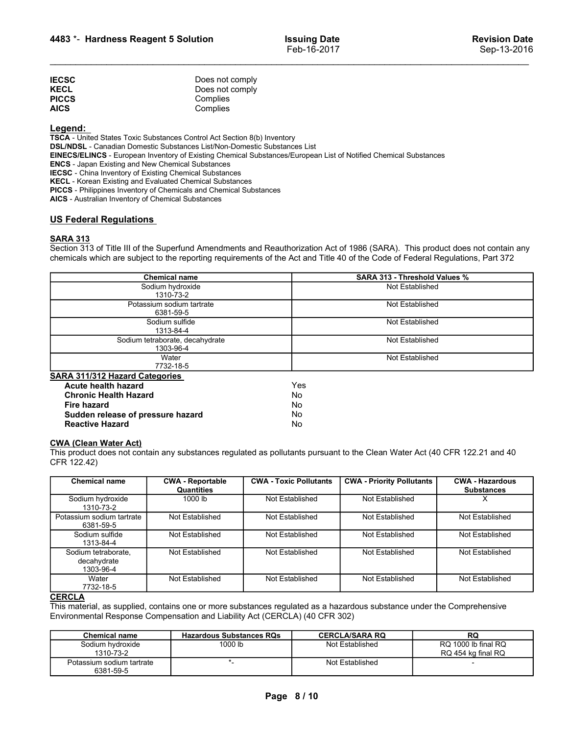|                                                     |                             | <b>Issuing Date</b><br>Feb-16-2017 | <b>Revision Date</b><br>Sep-13-2016 |
|-----------------------------------------------------|-----------------------------|------------------------------------|-------------------------------------|
| 4483 *- Hardness Reagent 5 Solution<br><b>IECSC</b> | Does not comply             |                                    |                                     |
| KECL<br><b>PICCS</b>                                | Does not comply<br>Complies |                                    |                                     |

# Legend:

TSCA - United States Toxic Substances Control Act Section 8(b) Inventory DSL/NDSL - Canadian Domestic Substances List/Non-Domestic Substances List EINECS/ELINCS - European Inventory of Existing Chemical Substances/European List of Notified Chemical Substances ENCS - Japan Existing and New Chemical Substances IECSC - China Inventory of Existing Chemical Substances KECL - Korean Existing and Evaluated Chemical Substances PICCS - Philippines Inventory of Chemicals and Chemical Substances **4483 \*- Hardness Reagent 5 Solution** Issuing Date<br>
Feb-16-2017<br>
IECSC Does not comply<br>
IECSC Does not comply<br>
IECSC Does not complies<br>
IECSC Does not complies<br>
ISLACE Does not complies<br>
ISLACE United States Toxic Substanc Section 313 of Title III of the Superfund Amendments and Reauthorization Act of 1986 (SARA). This product does not containered and Containered Amendments and Containered Amendments and Reauthorization Act of 1986 (SARA). T

|                                                                                                                                                                                                                                                                                                                                                                                                                                                                                        | 4483 *- Hardness Reagent 5 Solution                        | <b>Issuing Date</b><br>Feb-16-2017 |                                                                                                                                                                                                                                                                  | <b>Revision Date</b><br>Sep-13-2016 |  |
|----------------------------------------------------------------------------------------------------------------------------------------------------------------------------------------------------------------------------------------------------------------------------------------------------------------------------------------------------------------------------------------------------------------------------------------------------------------------------------------|------------------------------------------------------------|------------------------------------|------------------------------------------------------------------------------------------------------------------------------------------------------------------------------------------------------------------------------------------------------------------|-------------------------------------|--|
| <b>IECSC</b><br><b>KECL</b><br><b>PICCS</b><br><b>AICS</b>                                                                                                                                                                                                                                                                                                                                                                                                                             | Does not comply<br>Does not comply<br>Complies<br>Complies |                                    |                                                                                                                                                                                                                                                                  |                                     |  |
| Legend:<br>TSCA - United States Toxic Substances Control Act Section 8(b) Inventory<br>DSL/NDSL - Canadian Domestic Substances List/Non-Domestic Substances List<br><b>ENCS</b> - Japan Existing and New Chemical Substances<br><b>IECSC</b> - China Inventory of Existing Chemical Substances<br>KECL - Korean Existing and Evaluated Chemical Substances<br>PICCS - Philippines Inventory of Chemicals and Chemical Substances<br>AICS - Australian Inventory of Chemical Substances |                                                            |                                    | EINECS/ELINCS - European Inventory of Existing Chemical Substances/European List of Notified Chemical Substances                                                                                                                                                 |                                     |  |
| <b>US Federal Regulations</b><br><b>SARA 313</b>                                                                                                                                                                                                                                                                                                                                                                                                                                       |                                                            |                                    | Section 313 of Title III of the Superfund Amendments and Reauthorization Act of 1986 (SARA). This product does not contain any<br>chemicals which are subject to the reporting requirements of the Act and Title 40 of the Code of Federal Regulations, Part 372 |                                     |  |
|                                                                                                                                                                                                                                                                                                                                                                                                                                                                                        | <b>Chemical name</b>                                       |                                    | SARA 313 - Threshold Values %                                                                                                                                                                                                                                    |                                     |  |
|                                                                                                                                                                                                                                                                                                                                                                                                                                                                                        | Sodium hydroxide<br>1310-73-2                              |                                    | Not Established                                                                                                                                                                                                                                                  |                                     |  |
|                                                                                                                                                                                                                                                                                                                                                                                                                                                                                        | Potassium sodium tartrate<br>6381-59-5                     |                                    | Not Established                                                                                                                                                                                                                                                  |                                     |  |
|                                                                                                                                                                                                                                                                                                                                                                                                                                                                                        | Sodium sulfide                                             |                                    | Not Established                                                                                                                                                                                                                                                  |                                     |  |
|                                                                                                                                                                                                                                                                                                                                                                                                                                                                                        | 1313-84-4<br>Sodium tetraborate, decahydrate               |                                    | Not Established                                                                                                                                                                                                                                                  |                                     |  |
|                                                                                                                                                                                                                                                                                                                                                                                                                                                                                        | 1303-96-4                                                  |                                    |                                                                                                                                                                                                                                                                  |                                     |  |
|                                                                                                                                                                                                                                                                                                                                                                                                                                                                                        | Water<br>7732-18-5                                         |                                    | Not Established                                                                                                                                                                                                                                                  |                                     |  |
| SARA 311/312 Hazard Categories                                                                                                                                                                                                                                                                                                                                                                                                                                                         |                                                            |                                    |                                                                                                                                                                                                                                                                  |                                     |  |
| Acute health hazard                                                                                                                                                                                                                                                                                                                                                                                                                                                                    |                                                            | Yes<br>No                          |                                                                                                                                                                                                                                                                  |                                     |  |
| <b>Chronic Health Hazard</b><br>Fire hazard<br>Sudden release of pressure hazard<br><b>Reactive Hazard</b><br><b>CWA (Clean Water Act)</b>                                                                                                                                                                                                                                                                                                                                             |                                                            | No.<br>No<br>No                    |                                                                                                                                                                                                                                                                  |                                     |  |
| CFR 122.42)                                                                                                                                                                                                                                                                                                                                                                                                                                                                            |                                                            |                                    | This product does not contain any substances regulated as pollutants pursuant to the Clean Water Act (40 CFR 122.21 and 40                                                                                                                                       |                                     |  |
| <b>Chemical name</b>                                                                                                                                                                                                                                                                                                                                                                                                                                                                   | <b>CWA - Reportable</b>                                    | <b>CWA - Toxic Pollutants</b>      | <b>CWA - Priority Pollutants</b>                                                                                                                                                                                                                                 | <b>CWA - Hazardous</b>              |  |
| Sodium hydroxide                                                                                                                                                                                                                                                                                                                                                                                                                                                                       | Quantities<br>1000 lb                                      | Not Established                    | Not Established                                                                                                                                                                                                                                                  | <b>Substances</b><br>X              |  |
| 1310-73-2<br>Potassium sodium tartrate                                                                                                                                                                                                                                                                                                                                                                                                                                                 | Not Established                                            | Not Established                    | Not Established                                                                                                                                                                                                                                                  | Not Established                     |  |
| 6381-59-5<br>Sodium sulfide                                                                                                                                                                                                                                                                                                                                                                                                                                                            | Not Established                                            | Not Established                    | Not Established                                                                                                                                                                                                                                                  | Not Established                     |  |
| 1313-84-4<br>Sodium tetraborate,<br>decahydrate<br>1303-96-4                                                                                                                                                                                                                                                                                                                                                                                                                           | Not Established                                            | Not Established                    | Not Established                                                                                                                                                                                                                                                  | Not Established                     |  |

|                                                                                                                                                                                                                        | 6381-59-5                             |                               |                                  |                                             |
|------------------------------------------------------------------------------------------------------------------------------------------------------------------------------------------------------------------------|---------------------------------------|-------------------------------|----------------------------------|---------------------------------------------|
|                                                                                                                                                                                                                        | Sodium sulfide<br>1313-84-4           |                               | Not Established                  |                                             |
|                                                                                                                                                                                                                        | Sodium tetraborate, decahydrate       |                               | Not Established                  |                                             |
|                                                                                                                                                                                                                        | 1303-96-4                             |                               |                                  |                                             |
|                                                                                                                                                                                                                        | Water<br>7732-18-5                    |                               | Not Established                  |                                             |
| <b>SARA 311/312 Hazard Categories</b>                                                                                                                                                                                  |                                       |                               |                                  |                                             |
| Acute health hazard                                                                                                                                                                                                    |                                       | Yes                           |                                  |                                             |
| <b>Chronic Health Hazard</b>                                                                                                                                                                                           |                                       | No                            |                                  |                                             |
| <b>Fire hazard</b>                                                                                                                                                                                                     |                                       | No.                           |                                  |                                             |
| Sudden release of pressure hazard                                                                                                                                                                                      |                                       | No                            |                                  |                                             |
| <b>Reactive Hazard</b>                                                                                                                                                                                                 |                                       | <b>No</b>                     |                                  |                                             |
| <b>CWA (Clean Water Act)</b><br>This product does not contain any substances regulated as pollutants pursuant to the Clean Water Act (40 CFR 122.21 and 40<br>CFR 122.42)                                              |                                       |                               |                                  |                                             |
| <b>Chemical name</b>                                                                                                                                                                                                   | <b>CWA - Reportable</b><br>Quantities | <b>CWA - Toxic Pollutants</b> | <b>CWA - Priority Pollutants</b> | <b>CWA - Hazardous</b><br><b>Substances</b> |
| Sodium hydroxide<br>1310-73-2                                                                                                                                                                                          | 1000 lb                               | Not Established               | Not Established                  | X                                           |
| Potassium sodium tartrate<br>6381-59-5                                                                                                                                                                                 | Not Established                       | Not Established               | Not Established                  | Not Established                             |
| Sodium sulfide<br>1313-84-4                                                                                                                                                                                            | Not Established                       | Not Established               | Not Established                  | Not Established                             |
| Sodium tetraborate,<br>decahydrate<br>1303-96-4                                                                                                                                                                        | Not Established                       | Not Established               | Not Established                  | Not Established                             |
| Water<br>7732-18-5                                                                                                                                                                                                     | Not Established                       | Not Established               | Not Established                  | Not Established                             |
| <b>CERCLA</b><br>This material, as supplied, contains one or more substances regulated as a hazardous substance under the Comprehensive<br>Environmental Response Compensation and Liability Act (CERCLA) (40 CFR 302) |                                       |                               |                                  |                                             |
| <b>Chemical name</b>                                                                                                                                                                                                   | <b>Hazardous Substances RQs</b>       |                               | <b>CERCLA/SARA RQ</b>            | RQ                                          |
| Sodium hydroxide<br>1310-73-2                                                                                                                                                                                          | 1000 lb                               |                               | Not Established                  | RQ 1000 lb final RQ<br>RQ 454 kg final RQ   |
| Potassium sodium tartrate                                                                                                                                                                                              | $^\star$                              |                               | Not Established                  |                                             |

| <b>Chemical name</b>                   | <b>Hazardous Substances RQs</b> | <b>CERCLA/SARA RQ</b> | RQ                                        |
|----------------------------------------|---------------------------------|-----------------------|-------------------------------------------|
| Sodium hvdroxide<br>1310-73-2          | 1000 lb                         | Not Established       | RQ 1000 lb final RQ<br>RQ 454 kg final RQ |
| Potassium sodium tartrate<br>6381-59-5 |                                 | Not Established       |                                           |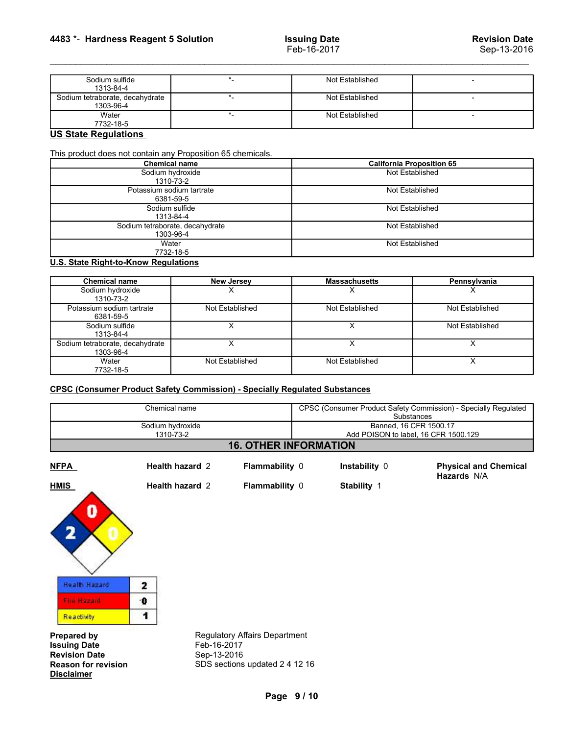| 4483 *- Hardness Reagent 5 Solution                         |                                                     | <b>Issuing Date</b><br>Feb-16-2017 | <b>Revision Date</b><br>Sep-13-2016 |
|-------------------------------------------------------------|-----------------------------------------------------|------------------------------------|-------------------------------------|
|                                                             |                                                     |                                    |                                     |
| Sodium sulfide<br>1313-84-4                                 | $\star$ .                                           | Not Established                    |                                     |
| Sodium tetraborate, decahydrate<br>1303-96-4                | $\star_-$                                           | Not Established                    | $\overline{\phantom{a}}$            |
| Water                                                       | $\star$                                             | Not Established                    | $\sim$                              |
| 7732-18-5<br><b>US State Regulations</b>                    |                                                     |                                    |                                     |
|                                                             |                                                     |                                    |                                     |
| This product does not contain any Proposition 65 chemicals. | Chemical name                                       | <b>California Proposition 65</b>   |                                     |
|                                                             | Sodium hydroxide                                    | Not Established                    |                                     |
|                                                             | 1310-73-2<br>Potassium sodium tartrate<br>6381-59-5 | Not Established                    |                                     |

| 4483 *- Hardness Reagent 5 Solution                                                                                  |                               | <b>Issuing Date</b>  | <b>Revision Date</b>                                                         |  |  |
|----------------------------------------------------------------------------------------------------------------------|-------------------------------|----------------------|------------------------------------------------------------------------------|--|--|
|                                                                                                                      |                               | Feb-16-2017          | Sep-13-2016                                                                  |  |  |
| Sodium sulfide                                                                                                       | $\star$                       | Not Established      | $\blacksquare$                                                               |  |  |
| 1313-84-4<br>Sodium tetraborate, decahydrate                                                                         | $\star$                       | Not Established      |                                                                              |  |  |
| 1303-96-4<br>Water                                                                                                   | $\star_-$                     | Not Established      | $\blacksquare$                                                               |  |  |
| 7732-18-5<br><b>US State Regulations</b>                                                                             |                               |                      |                                                                              |  |  |
| This product does not contain any Proposition 65 chemicals.<br><b>Chemical name</b><br>Sodium hydroxide<br>1310-73-2 |                               |                      | <b>California Proposition 65</b><br>Not Established                          |  |  |
| Potassium sodium tartrate<br>6381-59-5                                                                               |                               |                      | Not Established                                                              |  |  |
| Sodium sulfide<br>1313-84-4                                                                                          |                               |                      | Not Established                                                              |  |  |
| Sodium tetraborate, decahydrate<br>1303-96-4                                                                         |                               |                      | Not Established                                                              |  |  |
| Water<br>7732-18-5                                                                                                   |                               |                      | Not Established                                                              |  |  |
| <b>U.S. State Right-to-Know Regulations</b>                                                                          |                               |                      |                                                                              |  |  |
| <b>Chemical name</b>                                                                                                 | <b>New Jersey</b>             | <b>Massachusetts</b> | Pennsylvania                                                                 |  |  |
| Sodium hydroxide<br>1310-73-2                                                                                        | $\times$                      | $\times$             | $\times$                                                                     |  |  |
| Potassium sodium tartrate<br>6381-59-5                                                                               | Not Established               | Not Established      | Not Established                                                              |  |  |
| Sodium sulfide<br>1313-84-4                                                                                          | X                             | $\times$             | Not Established                                                              |  |  |
| Sodium tetraborate, decahydrate<br>1303-96-4                                                                         | X                             | X                    | $\mathsf{X}$                                                                 |  |  |
| Water<br>7732-18-5                                                                                                   | Not Established               | Not Established      | $\overline{\mathsf{x}}$                                                      |  |  |
| <b>CPSC (Consumer Product Safety Commission) - Specially Regulated Substances</b>                                    |                               |                      |                                                                              |  |  |
| Chemical name                                                                                                        |                               |                      | CPSC (Consumer Product Safety Commission) - Specially Regulated              |  |  |
|                                                                                                                      | Sodium hydroxide<br>1310-73-2 |                      | Substances<br>Banned, 16 CFR 1500.17<br>Add POISON to label, 16 CFR 1500.129 |  |  |

| <b>UNDINIUM NAME</b>                         |                                                                                   |                                                                              | <b>Camoma</b> Hoposition co                                     |  |
|----------------------------------------------|-----------------------------------------------------------------------------------|------------------------------------------------------------------------------|-----------------------------------------------------------------|--|
| Sodium hydroxide                             | 1310-73-2                                                                         | Not Established                                                              |                                                                 |  |
|                                              | Potassium sodium tartrate<br>6381-59-5                                            | Not Established                                                              |                                                                 |  |
| Sodium sulfide                               | 1313-84-4                                                                         | Not Established                                                              |                                                                 |  |
| Sodium tetraborate, decahydrate              |                                                                                   | Not Established                                                              |                                                                 |  |
| Water                                        | 1303-96-4<br>7732-18-5                                                            | Not Established                                                              |                                                                 |  |
| <b>U.S. State Right-to-Know Regulations</b>  |                                                                                   |                                                                              |                                                                 |  |
| <b>Chemical name</b>                         | <b>New Jersey</b>                                                                 | <b>Massachusetts</b>                                                         | Pennsylvania                                                    |  |
| Sodium hydroxide<br>1310-73-2                | X                                                                                 | X.                                                                           | x                                                               |  |
| Potassium sodium tartrate<br>6381-59-5       | Not Established                                                                   | Not Established                                                              | Not Established                                                 |  |
| Sodium sulfide<br>1313-84-4                  | $\overline{X}$                                                                    | $\overline{x}$                                                               | Not Established                                                 |  |
| Sodium tetraborate, decahydrate<br>1303-96-4 | X                                                                                 | $\overline{X}$                                                               | X                                                               |  |
| Water<br>7732-18-5                           | Not Established                                                                   | Not Established                                                              | $\overline{\mathsf{x}}$                                         |  |
|                                              | <b>CPSC (Consumer Product Safety Commission) - Specially Regulated Substances</b> |                                                                              |                                                                 |  |
| Chemical name                                |                                                                                   |                                                                              | CPSC (Consumer Product Safety Commission) - Specially Regulated |  |
| Sodium hydroxide                             | 1310-73-2                                                                         | Substances<br>Banned, 16 CFR 1500.17<br>Add POISON to label, 16 CFR 1500.129 |                                                                 |  |
|                                              | <b>16. OTHER INFORMATION</b>                                                      |                                                                              |                                                                 |  |
| <b>NFPA</b>                                  | Health hazard 2<br>Flammability 0                                                 | Instability 0                                                                | <b>Physical and Chemical</b><br>Hazards N/A                     |  |
| <b>HMIS</b>                                  | Flammability 0<br>Health hazard 2                                                 | Stability 1                                                                  |                                                                 |  |
| 0                                            |                                                                                   |                                                                              |                                                                 |  |

| Chemical name<br>Sodium hydroxide<br>1310-73-2                                                                       |                                |                                                                        | CPSC (Consumer Product Safety Commission) - Specially Regulated<br>Substances<br>Banned, 16 CFR 1500.17<br>Add POISON to label, 16 CFR 1500.129 |               |                                             |                              |  |  |
|----------------------------------------------------------------------------------------------------------------------|--------------------------------|------------------------------------------------------------------------|-------------------------------------------------------------------------------------------------------------------------------------------------|---------------|---------------------------------------------|------------------------------|--|--|
|                                                                                                                      |                                |                                                                        |                                                                                                                                                 |               |                                             | <b>16. OTHER INFORMATION</b> |  |  |
| <b>NFPA</b>                                                                                                          | Health hazard 2                | Flammability 0                                                         |                                                                                                                                                 | Instability 0 | <b>Physical and Chemical</b><br>Hazards N/A |                              |  |  |
| <b>HMIS</b><br>0                                                                                                     | Health hazard 2                | Flammability 0                                                         |                                                                                                                                                 | Stability 1   |                                             |                              |  |  |
| <b>Health Hazard</b><br><b>Fire Hazard</b><br>Reactivity                                                             | $\mathbf{z}$<br>$\bullet$<br>1 |                                                                        |                                                                                                                                                 |               |                                             |                              |  |  |
| <b>Prepared by</b><br><b>Issuing Date</b><br><b>Revision Date</b><br><b>Reason for revision</b><br><b>Disclaimer</b> | Feb-16-2017<br>Sep-13-2016     | <b>Regulatory Affairs Department</b><br>SDS sections updated 2 4 12 16 |                                                                                                                                                 |               |                                             |                              |  |  |
|                                                                                                                      |                                | Page 9/10                                                              |                                                                                                                                                 |               |                                             |                              |  |  |
|                                                                                                                      |                                |                                                                        |                                                                                                                                                 |               |                                             |                              |  |  |